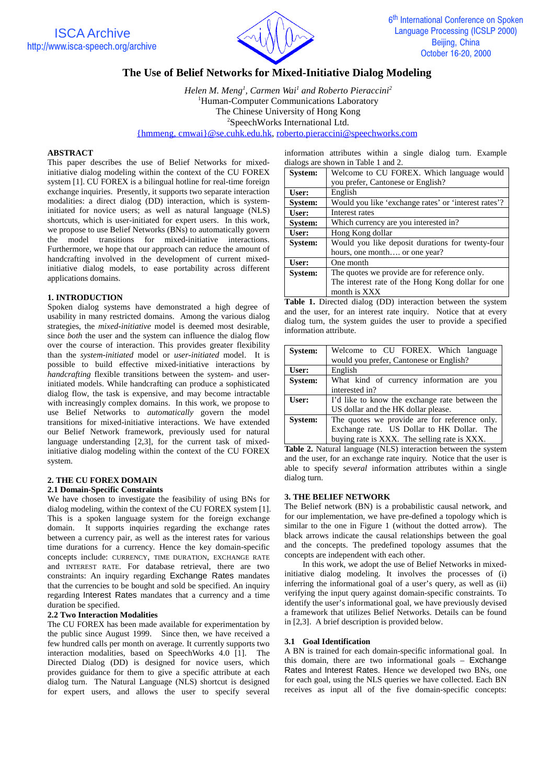



# **The Use of Belief Networks for Mixed-Initiative Dialog Modeling**

*Helen M. Meng1 , Carmen Wai1 and Roberto Pieraccini2* <sup>1</sup>Human-Computer Communications Laboratory The Chinese University of Hong Kong <sup>2</sup>SpeechWorks International Ltd. {hmmeng, cmwai}@se.cuhk.edu.hk, roberto.pieraccini@speechworks.com

### **ABSTRACT**

This paper describes the use of Belief Networks for mixedinitiative dialog modeling within the context of the CU FOREX system [1]. CU FOREX is a bilingual hotline for real-time foreign exchange inquiries. Presently, it supports two separate interaction modalities: a direct dialog (DD) interaction, which is systeminitiated for novice users; as well as natural language (NLS) shortcuts, which is user-initiated for expert users. In this work, we propose to use Belief Networks (BNs) to automatically govern the model transitions for mixed-initiative interactions. Furthermore, we hope that our approach can reduce the amount of handcrafting involved in the development of current mixedinitiative dialog models, to ease portability across different applications domains.

### **1. INTRODUCTION**

Spoken dialog systems have demonstrated a high degree of usability in many restricted domains. Among the various dialog strategies, the *mixed-initiative* model is deemed most desirable, since *both* the user and the system can influence the dialog flow over the course of interaction. This provides greater flexibility than the *system-initiated* model or *user-initiated* model. It is possible to build effective mixed-initiative interactions by *handcrafting* flexible transitions between the system- and userinitiated models. While handcrafting can produce a sophisticated dialog flow, the task is expensive, and may become intractable with increasingly complex domains. In this work, we propose to use Belief Networks to *automatically* govern the model transitions for mixed-initiative interactions. We have extended our Belief Network framework, previously used for natural language understanding [2,3], for the current task of mixedinitiative dialog modeling within the context of the CU FOREX system.

#### **2. THE CU FOREX DOMAIN 2.1 Domain-Specific Constraints**

We have chosen to investigate the feasibility of using BNs for dialog modeling, within the context of the CU FOREX system [1]. This is a spoken language system for the foreign exchange domain. It supports inquiries regarding the exchange rates between a currency pair, as well as the interest rates for various time durations for a currency. Hence the key domain-specific concepts include: CURRENCY, TIME DURATION, EXCHANGE RATE and INTEREST RATE. For database retrieval, there are two constraints: An inquiry regarding Exchange Rates mandates that the currencies to be bought and sold be specified. An inquiry regarding Interest Rates mandates that a currency and a time duration be specified.

### **2.2 Two Interaction Modalities**

The CU FOREX has been made available for experimentation by the public since August 1999. Since then, we have received a few hundred calls per month on average. It currently supports two interaction modalities, based on SpeechWorks 4.0 [1]. The Directed Dialog (DD) is designed for novice users, which provides guidance for them to give a specific attribute at each dialog turn. The Natural Language (NLS) shortcut is designed for expert users, and allows the user to specify several

information attributes within a single dialog turn. Example dialogs are shown in Table 1 and 2.

| <b>System:</b> | Welcome to CU FOREX. Which language would            |  |  |
|----------------|------------------------------------------------------|--|--|
|                | you prefer, Cantonese or English?                    |  |  |
| User:          | English                                              |  |  |
| <b>System:</b> | Would you like 'exchange rates' or 'interest rates'? |  |  |
| User:          | Interest rates                                       |  |  |
| <b>System:</b> | Which currency are you interested in?                |  |  |
| User:          | Hong Kong dollar                                     |  |  |
| <b>System:</b> | Would you like deposit durations for twenty-four     |  |  |
|                | hours, one month or one year?                        |  |  |
| User:          | One month                                            |  |  |
| System:        | The quotes we provide are for reference only.        |  |  |
|                | The interest rate of the Hong Kong dollar for one    |  |  |
|                | month is XXX                                         |  |  |

**Table 1.** Directed dialog (DD) interaction between the system and the user, for an interest rate inquiry. Notice that at every dialog turn, the system guides the user to provide a specified information attribute.

| <b>System:</b> | Welcome to CU FOREX. Which language            |
|----------------|------------------------------------------------|
|                | would you prefer, Cantonese or English?        |
| User:          | English                                        |
| <b>System:</b> | What kind of currency information are you      |
|                | interested in?                                 |
| User:          | I'd like to know the exchange rate between the |
|                | US dollar and the HK dollar please.            |
| System:        | The quotes we provide are for reference only.  |
|                | Exchange rate. US Dollar to HK Dollar. The     |
|                | buying rate is XXX. The selling rate is XXX.   |

**Table 2.** Natural language (NLS) interaction between the system and the user, for an exchange rate inquiry. Notice that the user is able to specify *several* information attributes within a single dialog turn.

### **3. THE BELIEF NETWORK**

The Belief network (BN) is a probabilistic causal network, and for our implementation, we have pre-defined a topology which is similar to the one in Figure 1 (without the dotted arrow). The black arrows indicate the causal relationships between the goal and the concepts. The predefined topology assumes that the concepts are independent with each other.

In this work, we adopt the use of Belief Networks in mixedinitiative dialog modeling. It involves the processes of (i) inferring the informational goal of a user's query, as well as (ii) verifying the input query against domain-specific constraints. To identify the user's informational goal, we have previously devised a framework that utilizes Belief Networks. Details can be found in [2,3]. A brief description is provided below.

#### **3.1 Goal Identification**

A BN is trained for each domain-specific informational goal. In this domain, there are two informational goals – Exchange Rates and Interest Rates. Hence we developed two BNs, one for each goal, using the NLS queries we have collected. Each BN receives as input all of the five domain-specific concepts: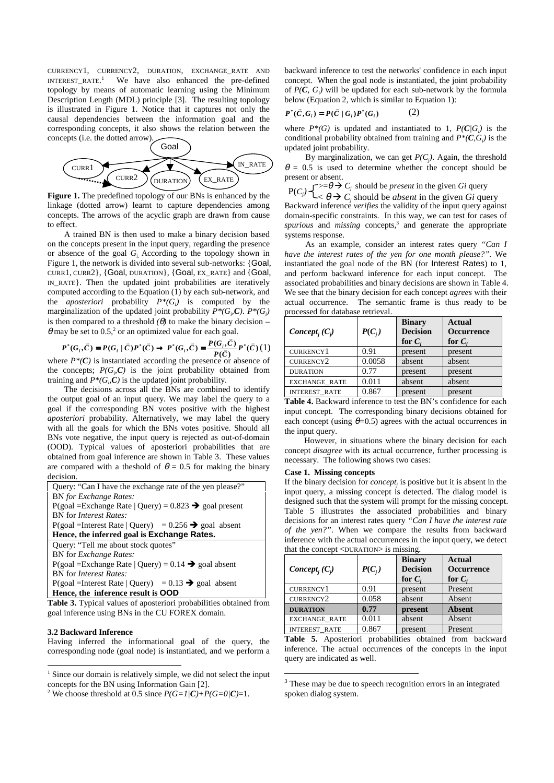CURRENCY1, CURRENCY2, DURATION, EXCHANGE\_RATE AND INTEREST\_RATE. 1 We have also enhanced the pre-defined topology by means of automatic learning using the Minimum Description Length (MDL) principle [3]. The resulting topology is illustrated in Figure 1. Notice that it captures not only the causal dependencies between the information goal and the corresponding concepts, it also shows the relation between the concepts (i.e. the dotted arrow).



**Figure 1.** The predefined topology of our BNs is enhanced by the linkage (dotted arrow) learnt to capture dependencies among concepts. The arrows of the acyclic graph are drawn from cause to effect.

A trained BN is then used to make a binary decision based on the concepts present in the input query, regarding the presence or absence of the goal *Gi.* According to the topology shown in Figure 1, the network is divided into several sub-networks: {Goal, CURR1, CURR2}, {Goal, DURATION}, {Goal, EX\_RATE} and {Goal, IN\_RATE}. Then the updated joint probabilities are iteratively computed according to the Equation (1) by each sub-network, and the *aposteriori* probability  $P^*(G_i)$  is computed by the marginalization of the updated joint probability  $P^*(G_i, C)$ .  $P^*(G_i)$ is then compared to a threshold  $(\theta)$  to make the binary decision –  $\theta$  may be set to 0.5,<sup>2</sup> or an optimized value for each goal.

$$
P^*(G_i, \overline{C}) = P(G_i | \overline{C})P^*(\overline{C}) \rightarrow P^*(G_i, \overline{C}) = \frac{P(G_i, \overline{C})}{P(\overline{C})}P^*(\overline{C})
$$
  
where  $P^*(C)$  is instantiated according to the presence or absence of

the concepts;  $P(G_i, C)$  is the joint probability obtained from training and  $P^*(G_i, C)$  is the updated joint probability.

The decisions across all the BNs are combined to identify the output goal of an input query. We may label the query to a goal if the corresponding BN votes positive with the highest *aposteriori* probability. Alternatively, we may label the query with all the goals for which the BNs votes positive. Should all BNs vote negative, the input query is rejected as out-of-domain (OOD). Typical values of aposteriori probabilities that are obtained from goal inference are shown in Table 3. These values are compared with a theshold of  $\theta = 0.5$  for making the binary decision.

| Query: "Can I have the exchange rate of the yen please?"           |
|--------------------------------------------------------------------|
| <b>BN</b> for Exchange Rates:                                      |
| $P(goal = Exchange Rate   Query) = 0.823 \rightarrow goal present$ |
| <b>BN</b> for <i>Interest Rates:</i>                               |
| $P(goaI = Interest Rate   Query) = 0.256 \rightarrow goal absent$  |
| Hence, the inferred goal is Exchange Rates.                        |
| Query: "Tell me about stock quotes"                                |
| BN for <i>Exchange Rates</i> :                                     |
| $P(goaI = Exchange Rate   Query) = 0.14 \rightarrow goal absent$   |
| BN for <i>Interest Rates</i> :                                     |
| $P(goaI = Interest Rate   Query) = 0.13 \rightarrow goal$ absent   |
| Hence, the inference result is OOD                                 |

**Table 3.** Typical values of aposteriori probabilities obtained from goal inference using BNs in the CU FOREX domain.

#### **3.2 Backward Inference**

 $\overline{a}$ 

Having inferred the informational goal of the query, the corresponding node (goal node) is instantiated, and we perform a backward inference to test the networks' confidence in each input concept. When the goal node is instantiated, the joint probability of  $P(C, G_i)$  will be updated for each sub-network by the formula below (Equation 2, which is similar to Equation 1):

$$
P^*(\bar{C}, G_i) = P(\bar{C} | G_i)P^*(G_i)
$$
 (2)

where  $P^*(G)$  is updated and instantiated to 1,  $P(C|G)$  is the conditional probability obtained from training and  $P^*(C, G_i)$  is the updated joint probability.

By marginalization, we can get  $P(C_j)$ . Again, the threshold  $\theta = 0.5$  is used to determine whether the concept should be present or absent.

 $\Rightarrow$   $\Rightarrow$   $C_i$  should be *present* in the given *Gi* query  $P(C)$ 

Backward inference *verifies* the validity of the input query against domain-specific constraints. In this way, we can test for cases of spurious and *missing* concepts,<sup>3</sup> and generate the appropriate systems response.  $< \theta \rightarrow C_j$  should be *absent* in the given *Gi* query

As an example, consider an interest rates query *"Can I have the interest rates of the yen for one month please?".* We instantiated the goal node of the BN (for Interest Rates) to 1, and perform backward inference for each input concept. The associated probabilities and binary decisions are shown in Table 4. We see that the binary decision for each concept *agrees* with their actual occurrence. The semantic frame is thus ready to be processed for database retrieval.

| $Concept_i(C_i)$     | $P(C_i)$ | <b>Binary</b><br><b>Decision</b><br>for $C_i$ | Actual<br><b>Occurrence</b><br>for $C_i$ |
|----------------------|----------|-----------------------------------------------|------------------------------------------|
| CURRENCY1            | 0.91     | present                                       | present                                  |
| CURRENCY2            | 0.0058   | absent                                        | absent                                   |
| <b>DURATION</b>      | 0.77     | present                                       | present                                  |
| <b>EXCHANGE RATE</b> | 0.011    | absent                                        | absent                                   |
| <b>INTEREST RATE</b> | 0.867    | present                                       | present                                  |

Table 4. Backward inference to test the BN's confidence for each input concept. The corresponding binary decisions obtained for each concept (using  $\theta$ =0.5) agrees with the actual occurrences in the input query.

However, in situations where the binary decision for each concept *disagree* with its actual occurrence, further processing is necessary. The following shows two cases:

## **Case 1. Missing concepts**

l

If the binary decision for *concept<sub>i</sub>* is positive but it is absent in the input query, a missing concept is detected. The dialog model is designed such that the system will prompt for the missing concept. Table 5 illustrates the associated probabilities and binary decisions for an interest rates query *"Can I have the interest rate of the yen?"*. When we compare the results from backward inference with the actual occurrences in the input query, we detect that the concept <DURATION> is missing.

| Concept <sub>i</sub> $(C_i)$ | $P(C_i)$ | <b>Binary</b><br><b>Decision</b><br>for $Ci$ | <b>Actual</b><br><b>Occurrence</b><br>for $C_i$ |
|------------------------------|----------|----------------------------------------------|-------------------------------------------------|
| <b>CURRENCY1</b>             | 0.91     | present                                      | Present                                         |
| CURRENCY2                    | 0.058    | absent                                       | Absent                                          |
| <b>DURATION</b>              | 0.77     | present                                      | <b>Absent</b>                                   |
| <b>EXCHANGE_RATE</b>         | 0.011    | absent                                       | Absent                                          |
| <b>INTEREST RATE</b>         | 0.867    | present                                      | Present                                         |

**Table 5.** Aposteriori probabilities obtained from backward inference. The actual occurrences of the concepts in the input query are indicated as well.

<sup>&</sup>lt;sup>1</sup> Since our domain is relatively simple, we did not select the input concepts for the BN using Information Gain [2].

<sup>&</sup>lt;sup>2</sup> We choose threshold at 0.5 since  $P(G=1/C)+P(G=0/C)=1$ .

<sup>&</sup>lt;sup>3</sup> These may be due to speech recognition errors in an integrated spoken dialog system.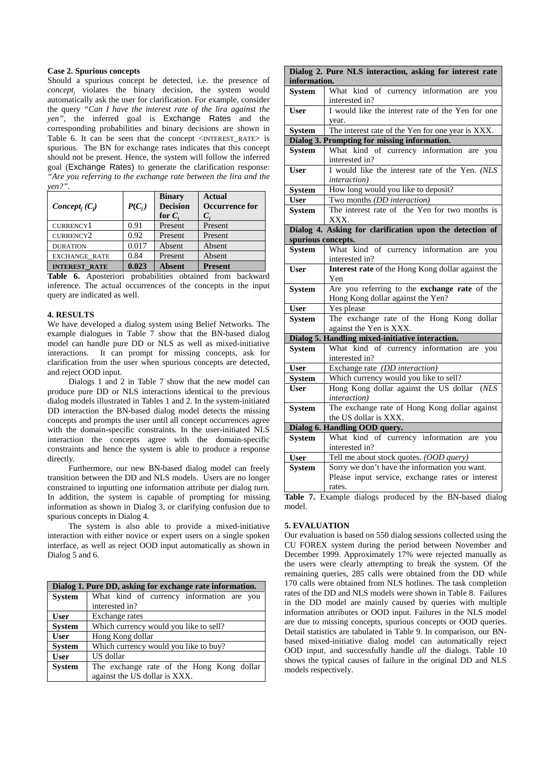### **Case 2. Spurious concepts**

Should a spurious concept be detected, i.e. the presence of *conceptj* violates the binary decision, the system would automatically ask the user for clarification. For example, consider the query *"Can I have the interest rate of the lira against the yen",* the inferred goal is Exchange Rates and the corresponding probabilities and binary decisions are shown in Table 6. It can be seen that the concept <INTEREST\_RATE> is spurious. The BN for exchange rates indicates that this concept should not be present. Hence, the system will follow the inferred goal (Exchange Rates) to generate the clarification response: *"Are you referring to the exchange rate between the lira and the yen?".*

| Concept <sub>i</sub> $(C_i)$ | $P(C_i)$ | <b>Binary</b><br><b>Decision</b><br>for $C_i$ | <b>Actual</b><br>Occurrence for<br>$C_i$ |
|------------------------------|----------|-----------------------------------------------|------------------------------------------|
| CURRENCY1                    | 0.91     | Present                                       | Present                                  |
| CURRENCY2                    | 0.92     | Present                                       | Present                                  |
| <b>DURATION</b>              | 0.017    | Absent                                        | Absent                                   |
| <b>EXCHANGE RATE</b>         | 0.84     | Present                                       | Absent                                   |
| <b>INTEREST RATE</b>         | 0.023    | <b>Absent</b>                                 | <b>Present</b>                           |

**Table 6.** Aposteriori probabilities obtained from backward inference. The actual occurrences of the concepts in the input query are indicated as well.

#### **4. RESULTS**

We have developed a dialog system using Belief Networks. The example dialogues in Table 7 show that the BN-based dialog model can handle pure DD or NLS as well as mixed-initiative interactions. It can prompt for missing concepts, ask for clarification from the user when spurious concepts are detected, and reject OOD input.

Dialogs 1 and 2 in Table 7 show that the new model can produce pure DD or NLS interactions identical to the previous dialog models illustrated in Tables 1 and 2. In the system-initiated DD interaction the BN-based dialog model detects the missing concepts and prompts the user until all concept occurrences agree with the domain-specific constraints. In the user-initiated NLS interaction the concepts agree with the domain-specific constraints and hence the system is able to produce a response directly.

Furthermore, our new BN-based dialog model can freely transition between the DD and NLS models. Users are no longer constrained to inputting one information attribute per dialog turn. In addition, the system is capable of prompting for missing information as shown in Dialog 3, or clarifying confusion due to spurious concepts in Dialog 4.

The system is also able to provide a mixed-initiative interaction with either novice or expert users on a single spoken interface, as well as reject OOD input automatically as shown in Dialog 5 and 6.

|               | Dialog 1. Pure DD, asking for exchange rate information. |
|---------------|----------------------------------------------------------|
| <b>System</b> | What kind of currency information are you                |
|               | interested in?                                           |
| <b>User</b>   | Exchange rates                                           |
| <b>System</b> | Which currency would you like to sell?                   |
| <b>User</b>   | Hong Kong dollar                                         |
| <b>System</b> | Which currency would you like to buy?                    |
| <b>User</b>   | US dollar                                                |
| <b>System</b> | The exchange rate of the Hong Kong dollar                |
|               | against the US dollar is XXX.                            |

|                    | Dialog 2. Pure NLS interaction, asking for interest rate             |
|--------------------|----------------------------------------------------------------------|
| information.       |                                                                      |
| <b>System</b>      | What kind of currency information are you<br>interested in?          |
| <b>User</b>        | I would like the interest rate of the Yen for one<br>year.           |
| <b>System</b>      | The interest rate of the Yen for one year is XXX.                    |
|                    | Dialog 3. Prompting for missing information.                         |
| <b>System</b>      | What kind of currency information<br>you<br>are                      |
|                    | interested in?                                                       |
| <b>User</b>        | I would like the interest rate of the Yen. (NLS                      |
|                    | <i>interaction</i> )                                                 |
| <b>System</b>      | How long would you like to deposit?                                  |
| <b>User</b>        | Two months (DD interaction)                                          |
| <b>System</b>      | The interest rate of the Yen for two months is                       |
|                    | XXX.                                                                 |
|                    | Dialog 4. Asking for clarification upon the detection of             |
| spurious concepts. |                                                                      |
| <b>System</b>      | What kind of currency information are you                            |
|                    | interested in?                                                       |
| <b>User</b>        | Interest rate of the Hong Kong dollar against the                    |
|                    | Yen                                                                  |
| <b>System</b>      | Are you referring to the exchange rate of the                        |
|                    | Hong Kong dollar against the Yen?                                    |
| <b>User</b>        | Yes please                                                           |
| <b>System</b>      | The exchange rate of the Hong Kong dollar<br>against the Yen is XXX. |
|                    | Dialog 5. Handling mixed-initiative interaction.                     |
| <b>System</b>      | What kind of currency information are you                            |
|                    | interested in?                                                       |
| <b>User</b>        | Exchange rate (DD interaction)                                       |
| <b>System</b>      | Which currency would you like to sell?                               |
| <b>User</b>        | Hong Kong dollar against the US dollar (NLS                          |
|                    | interaction)                                                         |
| <b>System</b>      | The exchange rate of Hong Kong dollar against                        |
|                    | the US dollar is XXX.                                                |
|                    | Dialog 6. Handling OOD query.                                        |
| <b>System</b>      | What kind of currency information are you                            |
|                    | interested in?                                                       |
| <b>User</b>        | Tell me about stock quotes. (OOD query)                              |
| <b>System</b>      | Sorry we don't have the information you want.                        |
|                    | Please input service, exchange rates or interest                     |
|                    | rates.                                                               |

**Table 7.** Example dialogs produced by the BN-based dialog model.

### **5. EVALUATION**

Our evaluation is based on 550 dialog sessions collected using the CU FOREX system during the period between November and December 1999. Approximately 17% were rejected manually as the users were clearly attempting to break the system. Of the remaining queries, 285 calls were obtained from the DD while 170 calls were obtained from NLS hotlines. The task completion rates of the DD and NLS models were shown in Table 8. Failures in the DD model are mainly caused by queries with multiple information attributes or OOD input. Failures in the NLS model are due to missing concepts, spurious concepts or OOD queries. Detail statistics are tabulated in Table 9. In comparison, our BNbased mixed-initiative dialog model can automatically reject OOD input, and successfully handle *all* the dialogs. Table 10 shows the typical causes of failure in the original DD and NLS models respectively.